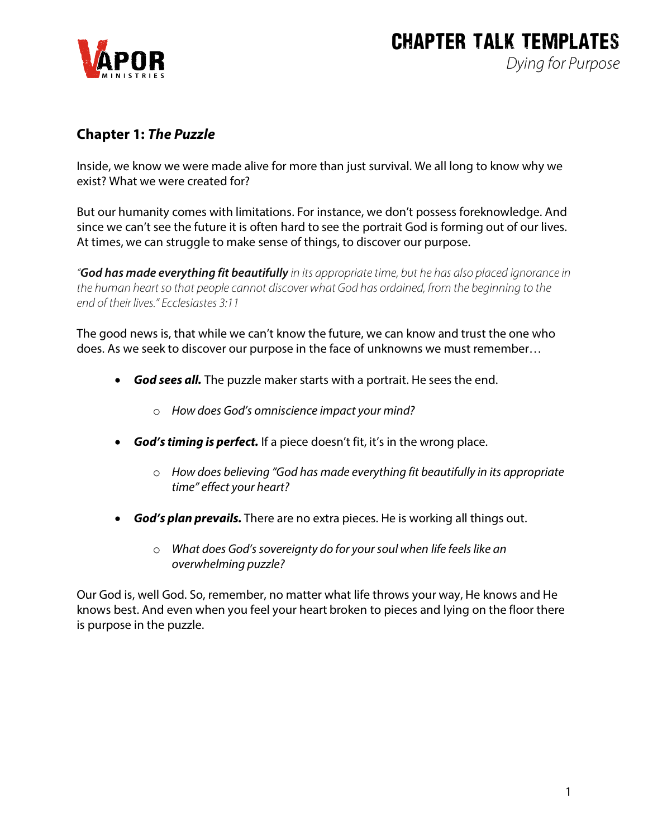

#### **Chapter 1:** *The Puzzle*

Inside, we know we were made alive for more than just survival. We all long to know why we exist? What we were created for?

But our humanity comes with limitations. For instance, we don't possess foreknowledge. And since we can't see the future it is often hard to see the portrait God is forming out of our lives. At times, we can struggle to make sense of things, to discover our purpose.

*"God has made everything fit beautifully in its appropriate time, but he has also placed ignorance in the human heart so that people cannot discover what God has ordained, from the beginning to the end of their lives." Ecclesiastes 3:11*

The good news is, that while we can't know the future, we can know and trust the one who does. As we seek to discover our purpose in the face of unknowns we must remember…

- *God sees all.* The puzzle maker starts with a portrait. He sees the end.
	- o *How does God's omniscience impact your mind?*
- *God's timing is perfect.* If a piece doesn't fit, it's in the wrong place.
	- o *How does believing "God has made everything fit beautifully in its appropriate time" effect your heart?*
- *God's plan prevails.* There are no extra pieces. He is working all things out.
	- o *What does God's sovereignty do for your soul when life feels like an overwhelming puzzle?*

Our God is, well God. So, remember, no matter what life throws your way, He knows and He knows best. And even when you feel your heart broken to pieces and lying on the floor there is purpose in the puzzle.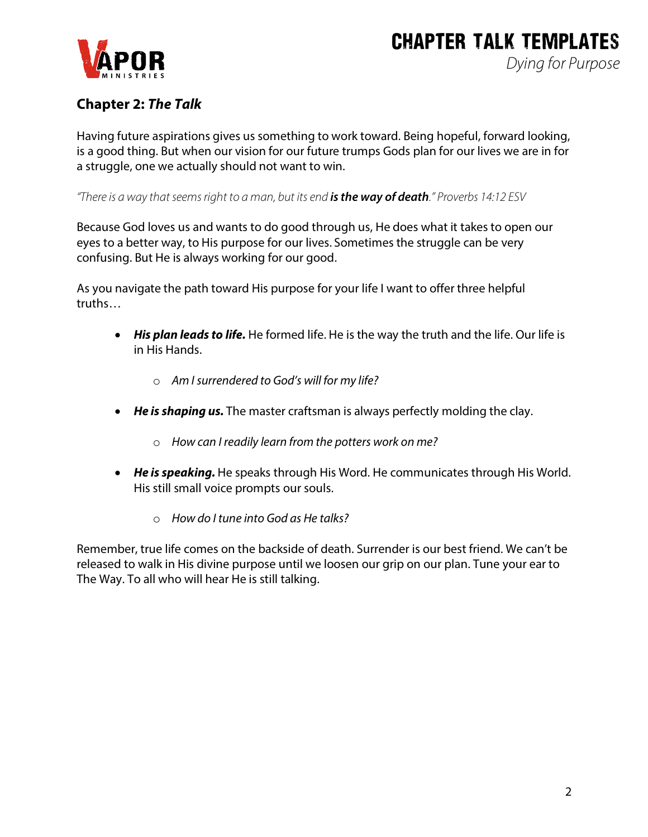

## **Chapter 2:** *The Talk*

Having future aspirations gives us something to work toward. Being hopeful, forward looking, is a good thing. But when our vision for our future trumps Gods plan for our lives we are in for a struggle, one we actually should not want to win.

*"There is a way that seems right to a man, but its end is the way of death." Proverbs 14:12 ESV*

Because God loves us and wants to do good through us, He does what it takes to open our eyes to a better way, to His purpose for our lives. Sometimes the struggle can be very confusing. But He is always working for our good.

As you navigate the path toward His purpose for your life I want to offer three helpful truths…

- *His plan leads to life.* He formed life. He is the way the truth and the life. Our life is in His Hands.
	- o *Am I surrendered to God's will for my life?*
- *He is shaping us.* The master craftsman is always perfectly molding the clay.
	- o *How can I readily learn from the potters work on me?*
- *He is speaking.* He speaks through His Word. He communicates through His World. His still small voice prompts our souls.
	- o *How do I tune into God as He talks?*

Remember, true life comes on the backside of death. Surrender is our best friend. We can't be released to walk in His divine purpose until we loosen our grip on our plan. Tune your ear to The Way. To all who will hear He is still talking.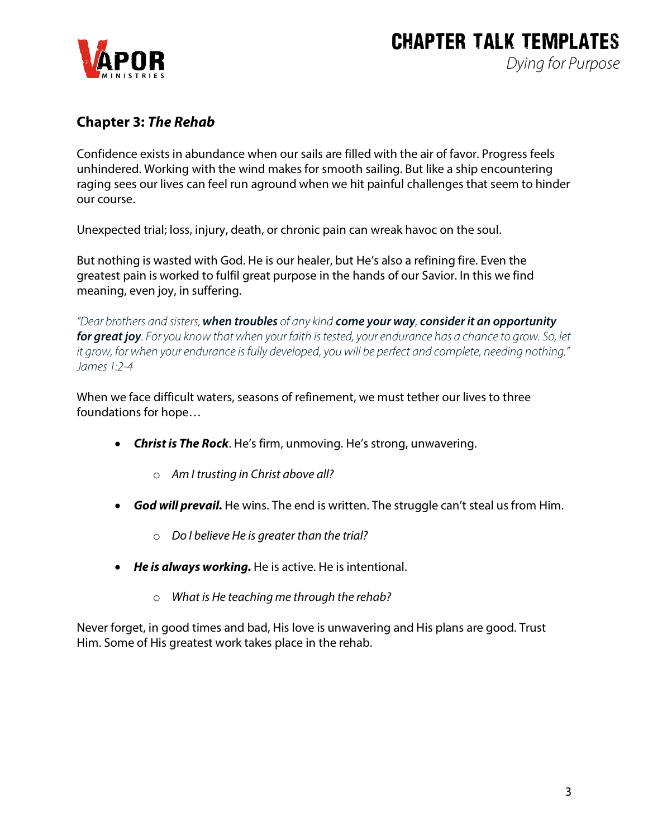## **Chapter 3:** *The Rehab*

Confidence exists in abundance when our sails are filled with the air of favor. Progress feels unhindered. Working with the wind makes for smooth sailing. But like a ship encountering raging sees our lives can feel run aground when we hit painful challenges that seem to hinder our course.

Unexpected trial; loss, injury, death, or chronic pain can wreak havoc on the soul.

But nothing is wasted with God. He is our healer, but He's also a refining fire. Even the greatest pain is worked to fulfil great purpose in the hands of our Savior. In this we find meaning, even joy, in suffering.

*"Dear brothers and sisters, when troubles of any kind come your way, considerit an opportunity for great joy. For you know that when your faith is tested, your endurance has a chance to grow. So, let it grow, for when your endurance is fully developed, you will be perfect and complete, needing nothing." James 1:2-4*

When we face difficult waters, seasons of refinement, we must tether our lives to three foundations for hope…

- *Christ is The Rock*. He's firm, unmoving. He's strong, unwavering.
	- o *Am I trusting in Christ above all?*
- *God will prevail.* He wins. The end is written. The struggle can't steal us from Him.
	- o *Do I believe He is greater than the trial?*
- *He is always working.* He is active. He is intentional.
	- o *What is He teaching me through the rehab?*

Never forget, in good times and bad, His love is unwavering and His plans are good. Trust Him. Some of His greatest work takes place in the rehab.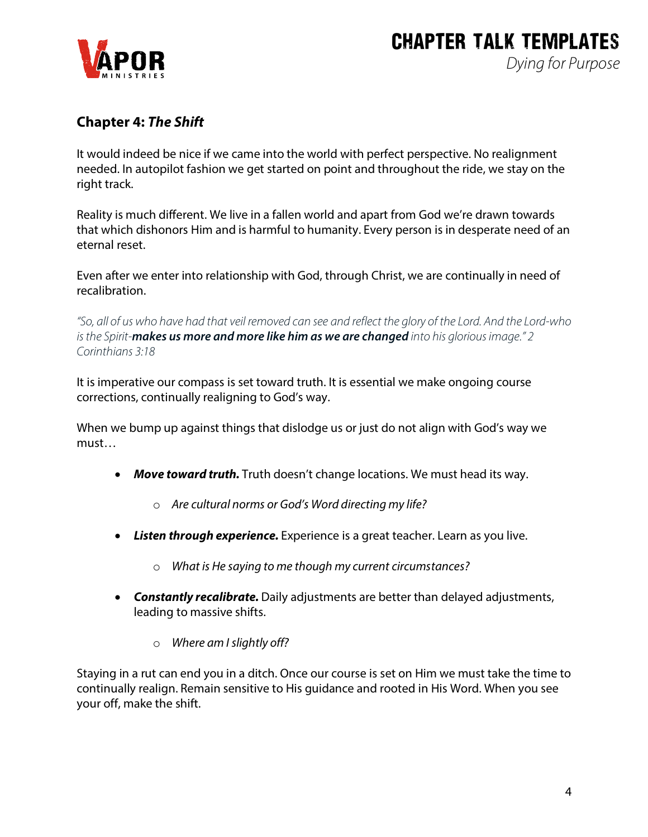

## **Chapter 4:** *The Shift*

It would indeed be nice if we came into the world with perfect perspective. No realignment needed. In autopilot fashion we get started on point and throughout the ride, we stay on the right track.

Reality is much different. We live in a fallen world and apart from God we're drawn towards that which dishonors Him and is harmful to humanity. Every person is in desperate need of an eternal reset.

Even after we enter into relationship with God, through Christ, we are continually in need of recalibration.

*"So, all of us who have had that veil removed can see and reflect the glory of the Lord. And the Lord-who is the Spirit-makes us more and more like him as we are changed into his glorious image." 2 Corinthians 3:18*

It is imperative our compass is set toward truth. It is essential we make ongoing course corrections, continually realigning to God's way.

When we bump up against things that dislodge us or just do not align with God's way we must…

- *Move toward truth.* Truth doesn't change locations. We must head its way.
	- o *Are cultural norms or God's Word directing my life?*
- *Listen through experience.* Experience is a great teacher. Learn as you live.
	- o *What is He saying to me though my current circumstances?*
- *Constantly recalibrate.* Daily adjustments are better than delayed adjustments, leading to massive shifts.
	- o *Where am I slightly off?*

Staying in a rut can end you in a ditch. Once our course is set on Him we must take the time to continually realign. Remain sensitive to His guidance and rooted in His Word. When you see your off, make the shift.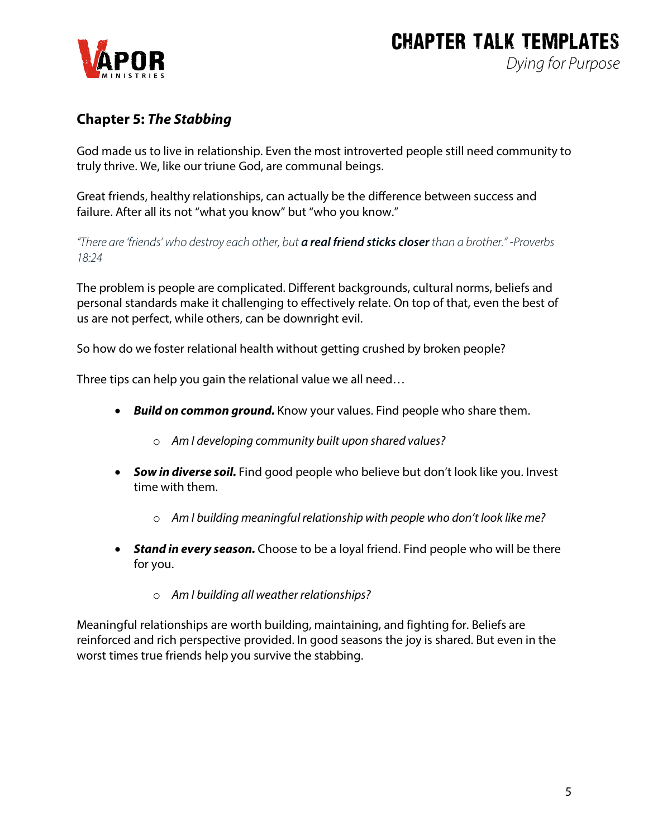

## **Chapter 5:** *The Stabbing*

God made us to live in relationship. Even the most introverted people still need community to truly thrive. We, like our triune God, are communal beings.

Great friends, healthy relationships, can actually be the difference between success and failure. After all its not "what you know" but "who you know."

*"There are 'friends' who destroy each other, but a real friend sticks closerthan a brother." -Proverbs 18:24*

The problem is people are complicated. Different backgrounds, cultural norms, beliefs and personal standards make it challenging to effectively relate. On top of that, even the best of us are not perfect, while others, can be downright evil.

So how do we foster relational health without getting crushed by broken people?

Three tips can help you gain the relational value we all need…

- *Build on common ground.* Know your values. Find people who share them.
	- o *Am I developing community built upon shared values?*
- *Sow in diverse soil.* Find good people who believe but don't look like you. Invest time with them.
	- o *Am I building meaningful relationship with people who don't look like me?*
- *Stand in every season.* Choose to be a loyal friend. Find people who will be there for you.
	- o *Am I building all weather relationships?*

Meaningful relationships are worth building, maintaining, and fighting for. Beliefs are reinforced and rich perspective provided. In good seasons the joy is shared. But even in the worst times true friends help you survive the stabbing.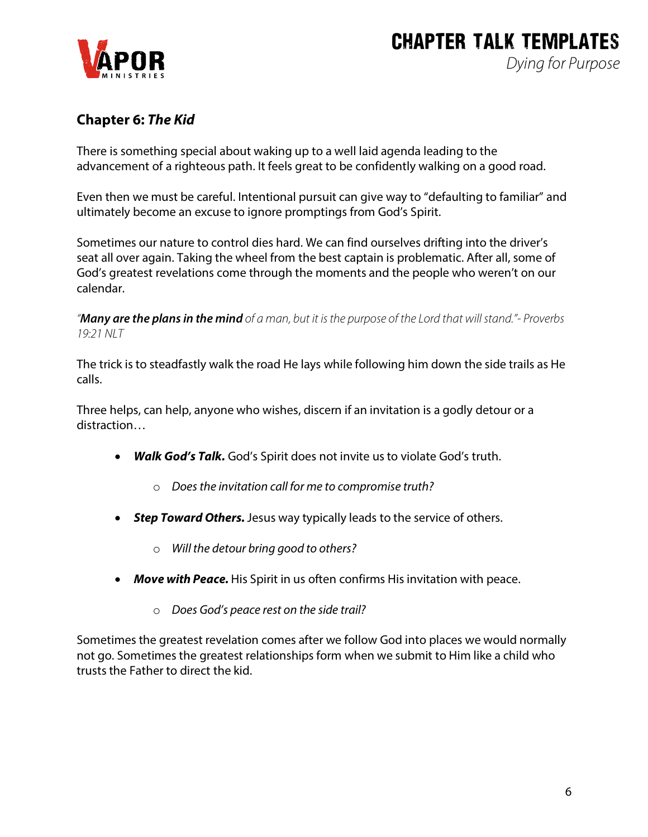

## **Chapter 6:** *The Kid*

There is something special about waking up to a well laid agenda leading to the advancement of a righteous path. It feels great to be confidently walking on a good road.

Even then we must be careful. Intentional pursuit can give way to "defaulting to familiar" and ultimately become an excuse to ignore promptings from God's Spirit.

Sometimes our nature to control dies hard. We can find ourselves drifting into the driver's seat all over again. Taking the wheel from the best captain is problematic. After all, some of God's greatest revelations come through the moments and the people who weren't on our calendar.

*"Many are the plans in the mind of a man, but it is the purpose of the Lord that will stand."- Proverbs 19:21 NLT*

The trick is to steadfastly walk the road He lays while following him down the side trails as He calls.

Three helps, can help, anyone who wishes, discern if an invitation is a godly detour or a distraction…

- *Walk God's Talk.* God's Spirit does not invite us to violate God's truth.
	- o *Does the invitation call for me to compromise truth?*
- *Step Toward Others.*Jesus way typically leads to the service of others.
	- o *Will the detour bring good to others?*
- *Move with Peace.* His Spirit in us often confirms His invitation with peace.
	- o *Does God's peace rest on the side trail?*

Sometimes the greatest revelation comes after we follow God into places we would normally not go. Sometimes the greatest relationships form when we submit to Him like a child who trusts the Father to direct the kid.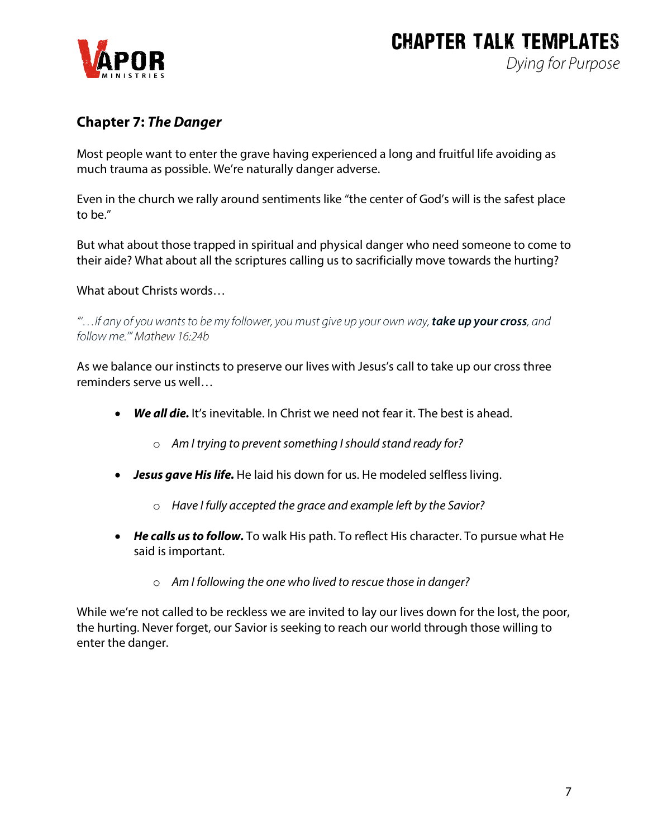## **Chapter 7:** *The Danger*

Most people want to enter the grave having experienced a long and fruitful life avoiding as much trauma as possible. We're naturally danger adverse.

Even in the church we rally around sentiments like "the center of God's will is the safest place to be."

But what about those trapped in spiritual and physical danger who need someone to come to their aide? What about all the scriptures calling us to sacrificially move towards the hurting?

What about Christs words…

*"'…If any of you wants to be my follower, you must give up your own way, take up your cross, and follow me.'" Mathew 16:24b*

As we balance our instincts to preserve our lives with Jesus's call to take up our cross three reminders serve us well…

- *We all die.* It's inevitable. In Christ we need not fear it. The best is ahead.
	- o *Am I trying to prevent something I should stand ready for?*
- *Jesus gave His life.* He laid his down for us. He modeled selfless living.
	- o *Have I fully accepted the grace and example left by the Savior?*
- *He calls us to follow.* To walk His path. To reflect His character. To pursue what He said is important.
	- o *Am I following the one who lived to rescue those in danger?*

While we're not called to be reckless we are invited to lay our lives down for the lost, the poor, the hurting. Never forget, our Savior is seeking to reach our world through those willing to enter the danger.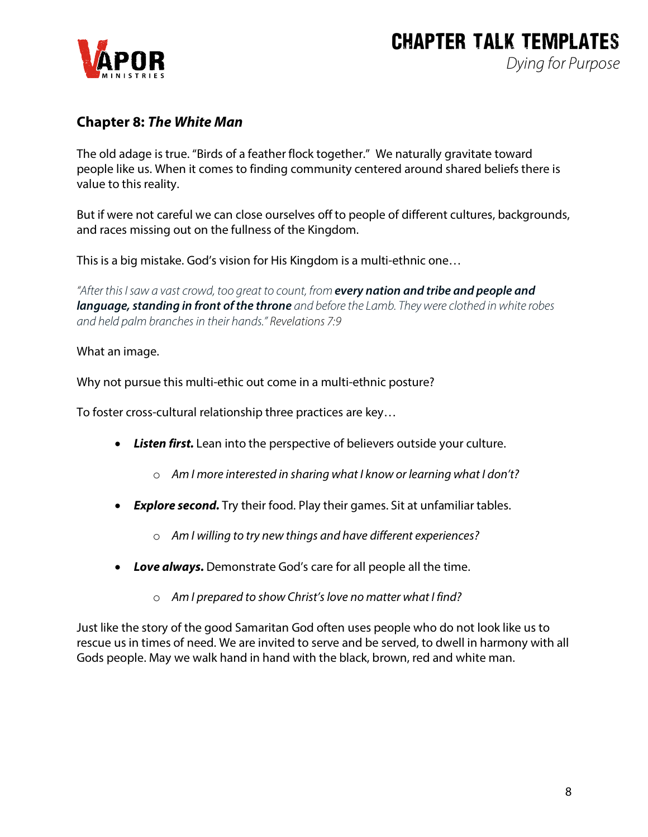

### **Chapter 8:** *The White Man*

The old adage is true. "Birds of a feather flock together." We naturally gravitate toward people like us. When it comes to finding community centered around shared beliefs there is value to this reality.

But if were not careful we can close ourselves off to people of different cultures, backgrounds, and races missing out on the fullness of the Kingdom.

This is a big mistake. God's vision for His Kingdom is a multi-ethnic one…

*"After this I saw a vast crowd, too great to count, from every nation and tribe and people and language, standing in front of the throne and before the Lamb. They were clothed in white robes and held palm branches in their hands." Revelations 7:9*

#### What an image.

Why not pursue this multi-ethic out come in a multi-ethnic posture?

To foster cross-cultural relationship three practices are key…

- *Listen first.* Lean into the perspective of believers outside your culture.
	- o *Am I more interested in sharing what I know or learning what I don't?*
- *Explore second.* Try their food. Play their games. Sit at unfamiliar tables.
	- o *Am I willing to try new things and have different experiences?*
- *Love always.* Demonstrate God's care for all people all the time.
	- o *Am I prepared to show Christ's love no matter what I find?*

Just like the story of the good Samaritan God often uses people who do not look like us to rescue us in times of need. We are invited to serve and be served, to dwell in harmony with all Gods people. May we walk hand in hand with the black, brown, red and white man.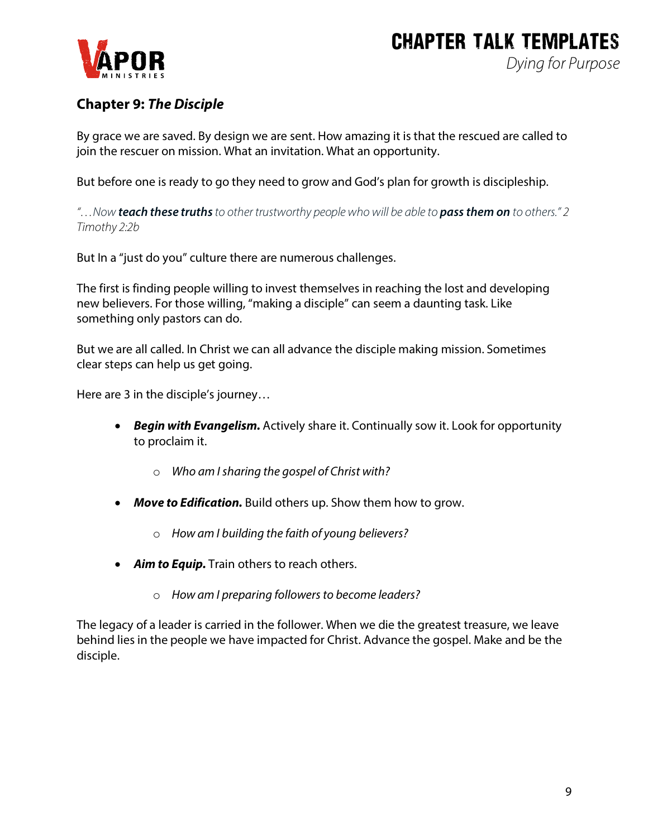

## **Chapter 9:** *The Disciple*

By grace we are saved. By design we are sent. How amazing it is that the rescued are called to join the rescuer on mission. What an invitation. What an opportunity.

But before one is ready to go they need to grow and God's plan for growth is discipleship.

*"…Now teach these truthsto other trustworthy people who will be able to pass them on to others." 2 Timothy 2:2b*

But In a "just do you" culture there are numerous challenges.

The first is finding people willing to invest themselves in reaching the lost and developing new believers. For those willing, "making a disciple" can seem a daunting task. Like something only pastors can do.

But we are all called. In Christ we can all advance the disciple making mission. Sometimes clear steps can help us get going.

Here are 3 in the disciple's journey…

- *Begin with Evangelism.* Actively share it. Continually sow it. Look for opportunity to proclaim it.
	- o *Who am I sharing the gospel of Christ with?*
- *Move to Edification.* Build others up. Show them how to grow.
	- o *How am I building the faith of young believers?*
- *Aim to Equip.* Train others to reach others.
	- o *How am I preparing followers to become leaders?*

The legacy of a leader is carried in the follower. When we die the greatest treasure, we leave behind lies in the people we have impacted for Christ. Advance the gospel. Make and be the disciple.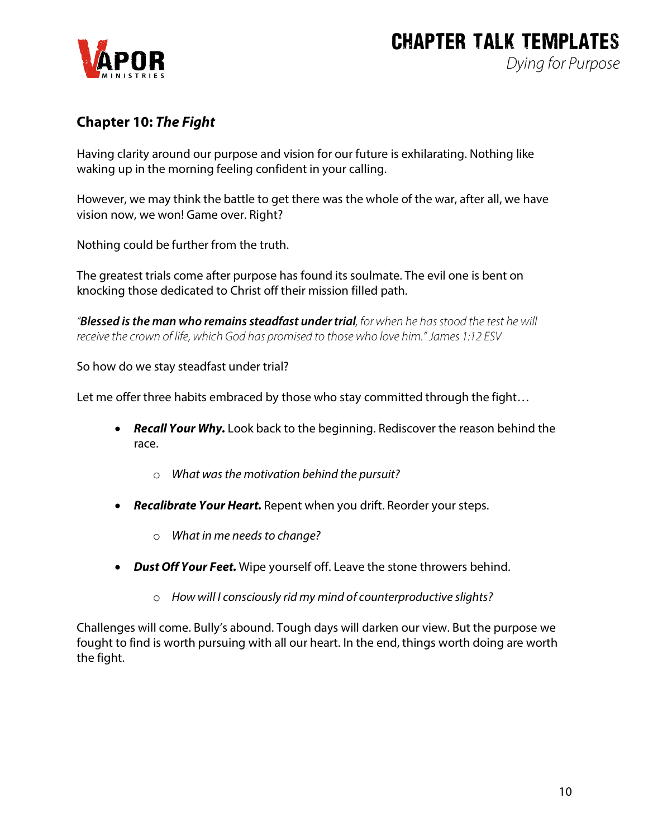

## **Chapter 10:** *The Fight*

Having clarity around our purpose and vision for our future is exhilarating. Nothing like waking up in the morning feeling confident in your calling.

However, we may think the battle to get there was the whole of the war, after all, we have vision now, we won! Game over. Right?

Nothing could be further from the truth.

The greatest trials come after purpose has found its soulmate. The evil one is bent on knocking those dedicated to Christ off their mission filled path.

*"Blessed is the man who remains steadfast under trial, for when he has stood the test he will receive the crown of life, which God has promised to those who love him." James 1:12 ESV*

So how do we stay steadfast under trial?

Let me offer three habits embraced by those who stay committed through the fight...

- *Recall Your Why.* Look back to the beginning. Rediscover the reason behind the race.
	- o *What was the motivation behind the pursuit?*
- *Recalibrate Your Heart.* Repent when you drift. Reorder your steps.
	- o *What in me needs to change?*
- *Dust Off Your Feet.* Wipe yourself off. Leave the stone throwers behind.
	- o *How will I consciously rid my mind of counterproductive slights?*

Challenges will come. Bully's abound. Tough days will darken our view. But the purpose we fought to find is worth pursuing with all our heart. In the end, things worth doing are worth the fight.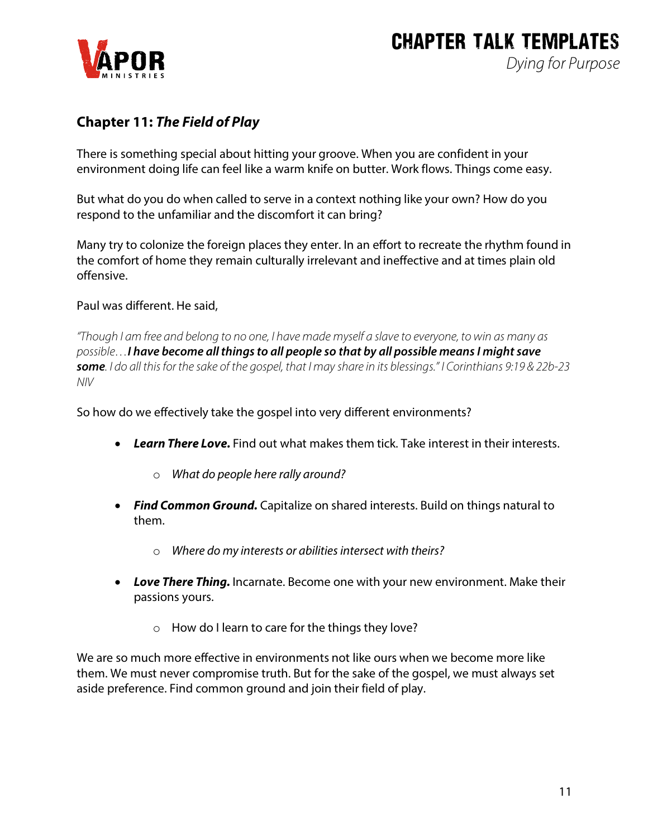

## **Chapter 11:** *The Field of Play*

There is something special about hitting your groove. When you are confident in your environment doing life can feel like a warm knife on butter. Work flows. Things come easy.

But what do you do when called to serve in a context nothing like your own? How do you respond to the unfamiliar and the discomfort it can bring?

Many try to colonize the foreign places they enter. In an effort to recreate the rhythm found in the comfort of home they remain culturally irrelevant and ineffective and at times plain old offensive.

Paul was different. He said,

*"Though I am free and belong to no one, I have made myself a slave to everyone, to win as many as possible…I have become all things to all people so that by all possible means I might save some. I do all this for the sake of the gospel, that I may share in its blessings." I Corinthians 9:19 & 22b-23 NIV*

So how do we effectively take the gospel into very different environments?

- *Learn There Love.* Find out what makes them tick. Take interest in their interests.
	- o *What do people here rally around?*
- *Find Common Ground.* Capitalize on shared interests. Build on things natural to them.
	- o *Where do my interests or abilities intersect with theirs?*
- *Love There Thing.* Incarnate. Become one with your new environment. Make their passions yours.
	- o How do I learn to care for the things they love?

We are so much more effective in environments not like ours when we become more like them. We must never compromise truth. But for the sake of the gospel, we must always set aside preference. Find common ground and join their field of play.